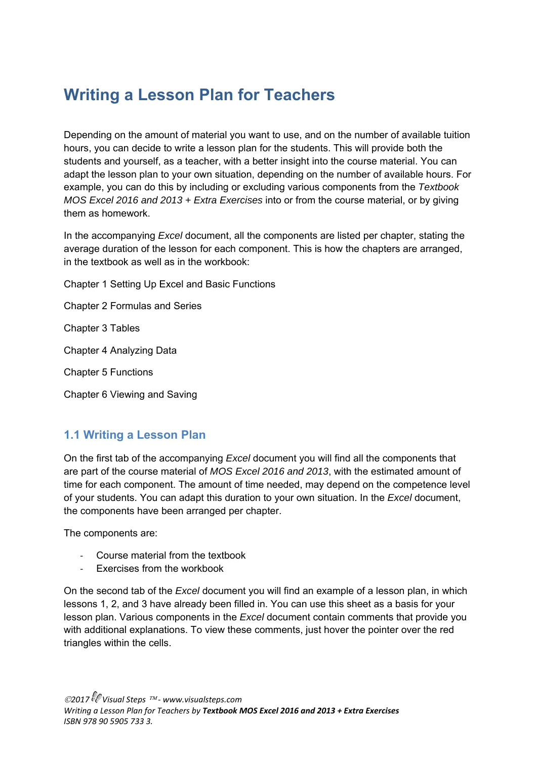# **Writing a Lesson Plan for Teachers**

Depending on the amount of material you want to use, and on the number of available tuition hours, you can decide to write a lesson plan for the students. This will provide both the students and yourself, as a teacher, with a better insight into the course material. You can adapt the lesson plan to your own situation, depending on the number of available hours. For example, you can do this by including or excluding various components from the *Textbook MOS Excel 2016 and 2013 + Extra Exercises* into or from the course material, or by giving them as homework.

In the accompanying *Excel* document, all the components are listed per chapter, stating the average duration of the lesson for each component. This is how the chapters are arranged, in the textbook as well as in the workbook:

Chapter 1 Setting Up Excel and Basic Functions

Chapter 2 Formulas and Series

Chapter 3 Tables

Chapter 4 Analyzing Data

Chapter 5 Functions

Chapter 6 Viewing and Saving

### **1.1 Writing a Lesson Plan**

On the first tab of the accompanying *Excel* document you will find all the components that are part of the course material of *MOS Excel 2016 and 2013*, with the estimated amount of time for each component. The amount of time needed, may depend on the competence level of your students. You can adapt this duration to your own situation. In the *Excel* document, the components have been arranged per chapter.

The components are:

- ‐ Course material from the textbook
- Exercises from the workbook

On the second tab of the *Excel* document you will find an example of a lesson plan, in which lessons 1, 2, and 3 have already been filled in. You can use this sheet as a basis for your lesson plan. Various components in the *Excel* document contain comments that provide you with additional explanations. To view these comments, just hover the pointer over the red triangles within the cells.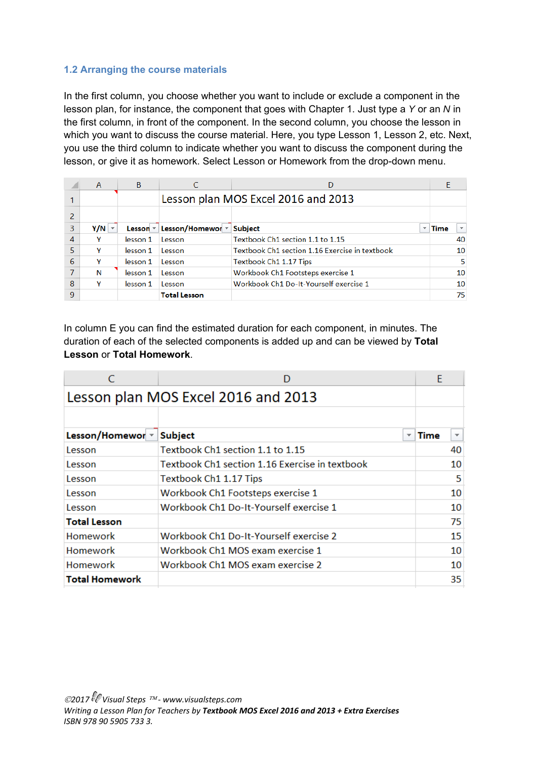#### **1.2 Arranging the course materials**

In the first column, you choose whether you want to include or exclude a component in the lesson plan, for instance, the component that goes with Chapter 1. Just type a *Y* or an *N* in the first column, in front of the component. In the second column, you choose the lesson in which you want to discuss the course material. Here, you type Lesson 1, Lesson 2, etc. Next, you use the third column to indicate whether you want to discuss the component during the lesson, or give it as homework. Select Lesson or Homework from the drop-down menu.

|   | $\overline{A}$ | B        |                                             |                                                |                                         |  |  |  |  |  |
|---|----------------|----------|---------------------------------------------|------------------------------------------------|-----------------------------------------|--|--|--|--|--|
|   |                |          |                                             | Lesson plan MOS Excel 2016 and 2013            |                                         |  |  |  |  |  |
|   |                |          |                                             |                                                |                                         |  |  |  |  |  |
| 3 | $Y/N$ $\sim$   |          | Lesson $\sqrt{ }$ Lesson/Homewor $\sqrt{ }$ | <b>Subject</b><br>$\overline{\phantom{a}}$     | <b>Time</b><br>$\overline{\phantom{a}}$ |  |  |  |  |  |
| 4 | ۷              | lesson 1 | Lesson                                      | Textbook Ch1 section 1.1 to 1.15               | 40                                      |  |  |  |  |  |
| 5 | v              | lesson 1 | Lesson                                      | Textbook Ch1 section 1.16 Exercise in textbook | 10                                      |  |  |  |  |  |
| 6 | v              | lesson 1 | Lesson                                      | Textbook Ch1 1.17 Tips                         | 5                                       |  |  |  |  |  |
|   | N              | lesson 1 | Lesson                                      | Workbook Ch1 Footsteps exercise 1              | 10                                      |  |  |  |  |  |
| 8 | ٧              | lesson 1 | <b>Lesson</b>                               | Workbook Ch1 Do-It-Yourself exercise 1         | 10                                      |  |  |  |  |  |
| 9 |                |          | <b>Total Lesson</b>                         |                                                | 75                                      |  |  |  |  |  |

In column E you can find the estimated duration for each component, in minutes. The duration of each of the selected components is added up and can be viewed by **Total Lesson** or **Total Homework**.

|                                     |                                                | E           |    |  |  |  |  |  |  |
|-------------------------------------|------------------------------------------------|-------------|----|--|--|--|--|--|--|
| Lesson plan MOS Excel 2016 and 2013 |                                                |             |    |  |  |  |  |  |  |
|                                     |                                                |             |    |  |  |  |  |  |  |
| Lesson/Homewor *                    | <b>Subject</b><br>$\overline{\mathbf{v}}$      | <b>Time</b> | ▼  |  |  |  |  |  |  |
| Lesson                              | Textbook Ch1 section 1.1 to 1.15               |             | 40 |  |  |  |  |  |  |
| Lesson                              | Textbook Ch1 section 1.16 Exercise in textbook |             | 10 |  |  |  |  |  |  |
| Lesson                              | Textbook Ch1 1.17 Tips                         |             | 5  |  |  |  |  |  |  |
| Lesson                              | Workbook Ch1 Footsteps exercise 1              |             | 10 |  |  |  |  |  |  |
| Lesson                              | Workbook Ch1 Do-It-Yourself exercise 1         |             | 10 |  |  |  |  |  |  |
| <b>Total Lesson</b>                 |                                                |             | 75 |  |  |  |  |  |  |
| <b>Homework</b>                     | Workbook Ch1 Do-It-Yourself exercise 2         |             | 15 |  |  |  |  |  |  |
| <b>Homework</b>                     | Workbook Ch1 MOS exam exercise 1               |             | 10 |  |  |  |  |  |  |
| Homework                            | Workbook Ch1 MOS exam exercise 2               |             | 10 |  |  |  |  |  |  |
| <b>Total Homework</b>               |                                                |             | 35 |  |  |  |  |  |  |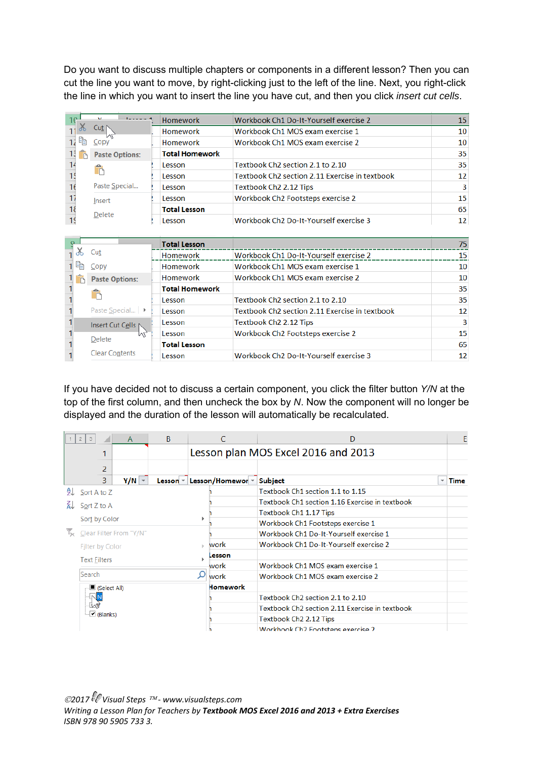Do you want to discuss multiple chapters or components in a different lesson? Then you can cut the line you want to move, by right-clicking just to the left of the line. Next, you right-click the line in which you want to insert the line you have cut, and then you click *insert cut cells*.

| 10 | والمستحدث             | <b>Homework</b>       | Workbook Ch1 Do-It-Yourself exercise 2                     | 15 |
|----|-----------------------|-----------------------|------------------------------------------------------------|----|
|    | Cut I                 | Homework              | Workbook Ch1 MOS exam exercise 1                           | 10 |
|    | ħ<br>Copy             | Homework              | Workbook Ch1 MOS exam exercise 2                           | 10 |
| 13 | <b>Paste Options:</b> | <b>Total Homework</b> |                                                            | 35 |
|    |                       | Lesson                | Textbook Ch <sub>2</sub> section 2.1 to 2.10               | 35 |
|    |                       | Lesson                | Textbook Ch <sub>2</sub> section 2.11 Exercise in textbook | 12 |
|    | Paste Special         | Lesson                | Textbook Ch <sub>2</sub> 2.12 Tips                         | 3  |
|    | Insert                | Lesson                | Workbook Ch2 Footsteps exercise 2                          | 15 |
|    | Delete                | <b>Total Lesson</b>   |                                                            | 65 |
|    |                       | Lesson                | Workbook Ch <sub>2</sub> Do-It-Yourself exercise 3         | 12 |
|    |                       |                       |                                                            |    |

|    |                       | <b>Total Lesson</b>   |                                                    | 75              |
|----|-----------------------|-----------------------|----------------------------------------------------|-----------------|
|    | Cut                   | Homework              | Workbook Ch1 Do-It-Yourself exercise 2             | 15              |
| 晤  | Copy                  | Homework              | Workbook Ch1 MOS exam exercise 1                   | 10              |
| n, | <b>Paste Options:</b> | Homework              | Workbook Ch1 MOS exam exercise 2                   | 10              |
|    |                       | <b>Total Homework</b> |                                                    | 35              |
|    |                       | Lesson                | Textbook Ch <sub>2</sub> section 2.1 to 2.10       | 35              |
|    | Paste Special ▶       | Lesson                | Textbook Ch2 section 2.11 Exercise in textbook     | 12              |
|    | Insert Cut Cells      | Lesson                | Textbook Ch <sub>2</sub> 2.12 Tips                 | 3               |
|    | lл<br>Delete          | Lesson                | Workbook Ch2 Footsteps exercise 2                  | 15              |
|    |                       | <b>Total Lesson</b>   |                                                    | 65              |
|    | <b>Clear Contents</b> | Lesson                | Workbook Ch <sub>2</sub> Do-It-Yourself exercise 3 | 12 <sub>1</sub> |

If you have decided not to discuss a certain component, you click the filter button *Y/N* at the top of the first column, and then uncheck the box by *N*. Now the component will no longer be displayed and the duration of the lesson will automatically be recalculated.

|    | $2^{\circ}$<br>$\mathbf{3}$            | $\mathsf{A}$                        | B             | C                | D                                              |  | E           |  |  |  |  |
|----|----------------------------------------|-------------------------------------|---------------|------------------|------------------------------------------------|--|-------------|--|--|--|--|
|    |                                        | Lesson plan MOS Excel 2016 and 2013 |               |                  |                                                |  |             |  |  |  |  |
|    | 2                                      |                                     |               |                  |                                                |  |             |  |  |  |  |
|    | 3                                      | $Y/N$ $\sim$                        | Lesson $\leq$ | Lesson/Homewor - | <b>Subject</b>                                 |  | <b>Time</b> |  |  |  |  |
|    | $9$ Sort A to Z                        |                                     |               |                  | Textbook Ch1 section 1.1 to 1.15               |  |             |  |  |  |  |
| ∡⊺ | Sort Z to A                            |                                     |               |                  | Textbook Ch1 section 1.16 Exercise in textbook |  |             |  |  |  |  |
|    |                                        |                                     |               |                  | Textbook Ch1 1.17 Tips                         |  |             |  |  |  |  |
|    | Sort by Color                          |                                     |               |                  | Workbook Ch1 Footsteps exercise 1              |  |             |  |  |  |  |
|    | V <sub>X</sub> Clear Filter From "Y/N" |                                     |               |                  | Workbook Ch1 Do-It-Yourself exercise 1         |  |             |  |  |  |  |
|    | <b>Filter by Color</b>                 |                                     |               | work             | Workbook Ch1 Do-It-Yourself exercise 2         |  |             |  |  |  |  |
|    | <b>Text Eilters</b>                    |                                     |               | Lesson           |                                                |  |             |  |  |  |  |
|    |                                        |                                     |               | work             | Workbook Ch1 MOS exam exercise 1               |  |             |  |  |  |  |
|    | Search                                 |                                     |               | work             | Workbook Ch1 MOS exam exercise 2               |  |             |  |  |  |  |
|    | └■ (Select All)                        |                                     |               | <b>Homework</b>  |                                                |  |             |  |  |  |  |
|    | ·NN                                    |                                     |               |                  | Textbook Ch2 section 2.1 to 2.10               |  |             |  |  |  |  |
|    |                                        |                                     |               |                  | Textbook Ch2 section 2.11 Exercise in textbook |  |             |  |  |  |  |
|    | ∙⊠ (Blanks)                            |                                     |               |                  | Textbook Ch <sub>2</sub> 2.12 Tips             |  |             |  |  |  |  |
|    |                                        |                                     |               |                  | Workhook Ch <sub>2</sub> Epotstens exercise 2  |  |             |  |  |  |  |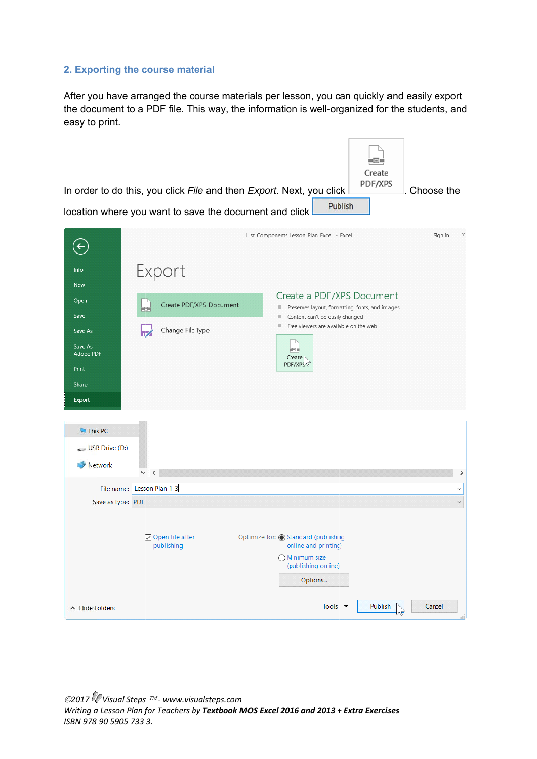## 2. Exporting the course material

After you have arranged the course materials per lesson, you can quickly and easily export the document to a PDF file. This way, the information is well-organized for the students, and easy to print.

|                                    | In order to do this, you click File and then Export. Next, you click<br>location where you want to save the document and click | -04<br>Create<br>PDF/XPS<br>Choose the<br>Publish                                                                                          |
|------------------------------------|--------------------------------------------------------------------------------------------------------------------------------|--------------------------------------------------------------------------------------------------------------------------------------------|
| $\leftarrow$                       |                                                                                                                                | $\ddot{?}$<br>List_Components_Lesson_Plan_Excel - Excel<br>Sign in                                                                         |
| Info<br><b>New</b><br>Open         | Export                                                                                                                         | Create a PDF/XPS Document                                                                                                                  |
| Save<br>Save As<br>Save As         | Create PDF/XPS Document<br>Ho-<br>Change File Type                                                                             | Preserves layout, formatting, fonts, and images<br>圖<br>Content can't be easily changed<br>圓<br>Free viewers are available on the web<br>服 |
| <b>Adobe PDF</b><br>Print<br>Share |                                                                                                                                | 神田寺<br>Create <sup></sup><br>PDF/XPS \\                                                                                                    |
| Export<br>This PC                  |                                                                                                                                |                                                                                                                                            |
| $\sim$ USB Drive (D:)<br>Network   | $\,<\,$<br>$\checkmark$                                                                                                        | ⋗                                                                                                                                          |
| File name:<br>Save as type: PDF    | Lesson Plan 1-3                                                                                                                | $\checkmark$<br>$\checkmark$                                                                                                               |
|                                    | ○ Open file after<br>publishing                                                                                                | Optimize for: Co Standard (publishing<br>online and printing)<br>$\bigcap$ Minimum size<br>(publishing online)<br>Options                  |
| A Hide Folders                     |                                                                                                                                | Tools $\blacktriangledown$<br>Publish<br>Cancel<br>^⊾                                                                                      |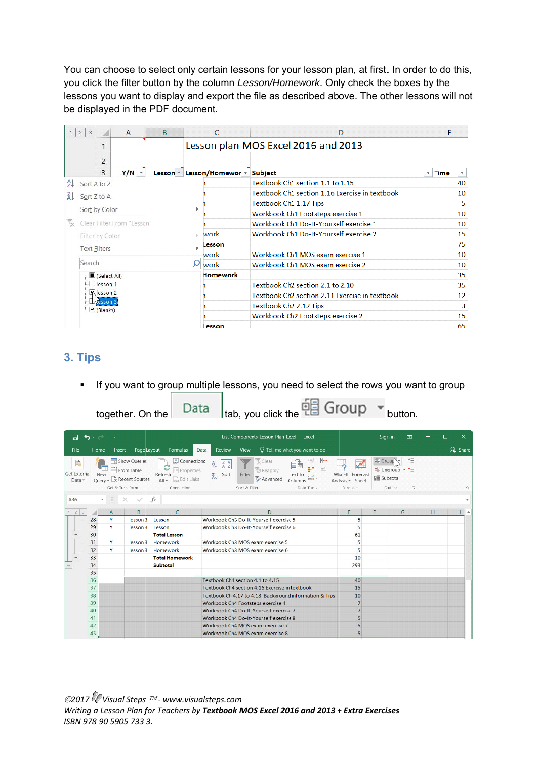You can choose to select only certain lessons for your lesson plan, at first. In order to do this, you click the filter button by the column *Lesson/Homework*. Only check the boxes by the lessons you want to display and export the file as described above. The other lessons will not be displayed in the PDF document.

|                       | $\overline{2}$<br>$\overline{\mathbf{3}}$ |                     | $\mathsf{A}$               | <sub>B</sub> |  | C                                           | D                                              |                         | E                                |  |  |  |  |
|-----------------------|-------------------------------------------|---------------------|----------------------------|--------------|--|---------------------------------------------|------------------------------------------------|-------------------------|----------------------------------|--|--|--|--|
|                       |                                           |                     |                            |              |  |                                             | Lesson plan MOS Excel 2016 and 2013            |                         |                                  |  |  |  |  |
|                       |                                           | $\overline{2}$      |                            |              |  |                                             |                                                |                         |                                  |  |  |  |  |
|                       |                                           | 3                   | $Y/N$ $\sim$               |              |  | Lesson $\sqrt{ }$ Lesson/Homewor $\sqrt{ }$ | <b>Subject</b>                                 | $\overline{\mathbf{v}}$ | Time<br>$\overline{\phantom{a}}$ |  |  |  |  |
| ĄJ.                   |                                           | Sort A to Z         |                            |              |  |                                             | Textbook Ch1 section 1.1 to 1.15               |                         | 40                               |  |  |  |  |
| áJ                    |                                           | Sort Z to A         |                            |              |  |                                             | Textbook Ch1 section 1.16 Exercise in textbook |                         | 10                               |  |  |  |  |
|                       |                                           |                     |                            |              |  |                                             | Textbook Ch1 1.17 Tips                         |                         | 5                                |  |  |  |  |
|                       |                                           | Sort by Color       |                            |              |  |                                             | Workbook Ch1 Footsteps exercise 1              |                         |                                  |  |  |  |  |
| $\mathbb{I}_{\infty}$ |                                           |                     | Clear Filter From "Lesson" |              |  |                                             | Workbook Ch1 Do-It-Yourself exercise 1         |                         |                                  |  |  |  |  |
|                       |                                           | Filter by Color     |                            |              |  | work                                        | Workbook Ch1 Do-It-Yourself exercise 2         |                         | 15                               |  |  |  |  |
|                       |                                           | <b>Text Filters</b> |                            |              |  | Lesson                                      |                                                |                         | 75                               |  |  |  |  |
|                       |                                           |                     |                            |              |  | work                                        | Workbook Ch1 MOS exam exercise 1               |                         | 10                               |  |  |  |  |
|                       |                                           | Search              |                            |              |  | work                                        | Workbook Ch1 MOS exam exercise 2               |                         |                                  |  |  |  |  |
|                       |                                           | Select All)         |                            |              |  | <b>Homework</b>                             |                                                |                         | 35                               |  |  |  |  |
|                       |                                           | esson 1             |                            |              |  |                                             | Textbook Ch <sub>2</sub> section 2.1 to 2.10   |                         | 35                               |  |  |  |  |
|                       |                                           | Klesson 2           |                            |              |  |                                             | Textbook Ch2 section 2.11 Exercise in textbook |                         | 12                               |  |  |  |  |
|                       | <b>LATESSON 3</b><br>Blanks)              |                     |                            |              |  |                                             | Textbook Ch <sub>2</sub> 2.12 Tips             |                         | 3                                |  |  |  |  |
|                       |                                           |                     |                            |              |  |                                             | Workbook Ch2 Footsteps exercise 2              |                         | 15                               |  |  |  |  |
|                       |                                           |                     |                            |              |  | .esson                                      |                                                |                         | 65                               |  |  |  |  |

# **3. Tips s**

• If you want to group multiple lessons, you need to select the rows you want to group

|                     |                           |                                  |                     | together. On the                             | Data                                                                                                            |                                          | Itab, you click the $\overline{L}$ and $\overline{L}$          |                                                       |                                                  |                                                        | button.                         |   |        |                          |
|---------------------|---------------------------|----------------------------------|---------------------|----------------------------------------------|-----------------------------------------------------------------------------------------------------------------|------------------------------------------|----------------------------------------------------------------|-------------------------------------------------------|--------------------------------------------------|--------------------------------------------------------|---------------------------------|---|--------|--------------------------|
| П                   | ь                         | $\rightarrow$ $\rightarrow$<br>۰ | ÷                   |                                              |                                                                                                                 |                                          | List_Components_Lesson_Plan_Excel - Excel                      |                                                       |                                                  | Sign in                                                | 困                               |   | $\Box$ | $\times$                 |
| File                |                           | Home                             | Insert              | Page Layout                                  | Formulas                                                                                                        | <b>Review</b><br>Data                    | View                                                           | $\heartsuit$ Tell me what you want to do              |                                                  |                                                        |                                 |   |        | $\beta$ Share            |
| <b>Get External</b> | R<br>Data -               | <b>New</b><br>Query -            | Get & Transform     | Show Queries<br>From Table<br>Recent Sources | Connections<br>e<br><b>E</b> Properties<br>Refresh<br>$\frac{1}{\sqrt{2}}$ Edit Links<br>$All -$<br>Connections | 处<br>$\frac{Z}{A}$ $\frac{A}{Z}$<br>Sort | Clear<br><b>Reapply</b><br>Filter<br>Advanced<br>Sort & Filter | ⊩<br>$\alpha_n^0$<br>Text to<br>Columns<br>Data Tools | What-If Forecast<br>Analysis v Sheet<br>Forecast | <b>相 Group</b><br>唱 Ungroup -<br>圖 Subtotal<br>Outline | ٠3<br>$\overline{\mathbb{F}_2}$ |   |        | ᄉ                        |
| A36                 |                           | $\forall$                        |                     |                                              | fx                                                                                                              |                                          |                                                                |                                                       |                                                  |                                                        |                                 |   |        | $\checkmark$             |
| $\overline{c}$      | $\ensuremath{\mathsf{3}}$ |                                  |                     | B                                            | $\mathcal{C}$                                                                                                   |                                          | D                                                              |                                                       | E                                                |                                                        | G                               | н |        |                          |
| 1                   |                           | 28                               | $\overline{A}$<br>Y | lesson 3                                     | Lesson                                                                                                          |                                          | Workbook Ch3 Do-It-Yourself exercise 5                         |                                                       | 5                                                |                                                        |                                 |   |        | $\overline{\phantom{a}}$ |
|                     |                           | 29                               | Y                   | lesson 3                                     | Lesson                                                                                                          |                                          | Workbook Ch3 Do-It-Yourself exercise 6                         |                                                       | 5                                                |                                                        |                                 |   |        |                          |
|                     |                           | 30                               |                     |                                              | <b>Total Lesson</b>                                                                                             |                                          |                                                                |                                                       | 61                                               |                                                        |                                 |   |        |                          |
|                     |                           | 31                               | Y                   | lesson 3                                     | Homework                                                                                                        |                                          | Workbook Ch3 MOS exam exercise 5                               |                                                       | 5                                                |                                                        |                                 |   |        |                          |
|                     |                           | 32                               | Y                   | lesson 3                                     | Homework                                                                                                        |                                          | Workbook Ch3 MOS exam exercise 6                               |                                                       | 5                                                |                                                        |                                 |   |        |                          |
|                     |                           | 33                               |                     |                                              | <b>Total Homework</b>                                                                                           |                                          |                                                                |                                                       | 10                                               |                                                        |                                 |   |        |                          |
|                     |                           | 34                               |                     |                                              | <b>Subtotal</b>                                                                                                 |                                          |                                                                |                                                       | 293                                              |                                                        |                                 |   |        |                          |
|                     |                           | 35                               |                     |                                              |                                                                                                                 |                                          |                                                                |                                                       |                                                  |                                                        |                                 |   |        |                          |
|                     |                           | 36                               |                     |                                              |                                                                                                                 |                                          | Textbook Ch4 section 4.1 to 4.15                               |                                                       | 40                                               |                                                        |                                 |   |        |                          |
|                     |                           | 37                               |                     |                                              |                                                                                                                 |                                          | Textbook Ch4 section 4.16 Exercise in textbook                 |                                                       | 15                                               |                                                        |                                 |   |        |                          |
|                     |                           | 38                               |                     |                                              |                                                                                                                 |                                          | Textbook Ch 4.17 to 4.18 Background information & Tips         |                                                       | 10                                               |                                                        |                                 |   |        |                          |
|                     |                           | 39                               |                     |                                              |                                                                                                                 |                                          | Workbook Ch4 Footsteps exercise 4                              |                                                       | $\overline{7}$                                   |                                                        |                                 |   |        |                          |
|                     |                           | 40                               |                     |                                              |                                                                                                                 |                                          | Workbook Ch4 Do-It-Yourself exercise 7                         |                                                       | $\overline{7}$                                   |                                                        |                                 |   |        |                          |
|                     |                           | 41                               |                     |                                              |                                                                                                                 |                                          | Workbook Ch4 Do-It-Yourself exercise 8                         |                                                       | 5                                                |                                                        |                                 |   |        |                          |
|                     |                           | 42                               |                     |                                              |                                                                                                                 |                                          | Workbook Ch4 MOS exam exercise 7                               |                                                       | 5                                                |                                                        |                                 |   |        |                          |
|                     |                           | 43                               |                     |                                              |                                                                                                                 |                                          | Workbook Ch4 MOS exam exercise 8                               |                                                       | 5                                                |                                                        |                                 |   |        |                          |